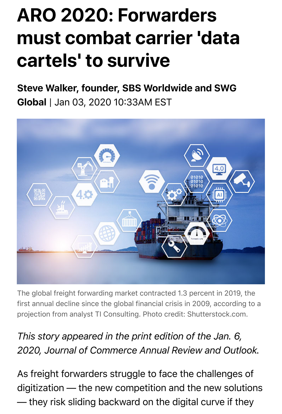## **ARO 2020: Forwarders must combat carrier 'data cartels' to survive**

Steve Walker, founder, SBS Worldwide and SWG Global | Jan 03, 2020 10:33AM EST



The global freight forwarding market contracted 1.3 percent in 2019, the first annual decline since the global financial crisis in 2009, according to a projection from analyst TI Consulting. Photo credit: Shutterstock.com.

## *This story appeared in the print edition of the Jan. 6, 2020, Journal of Commerce Annual Review and Outlook.*

As freight forwarders struggle to face the challenges of digitization — the new competition and the new solutions — they risk sliding backward on the digital curve if they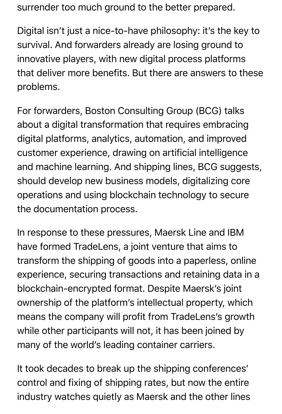surrender too much ground to the better prepared.

Digital isn't just a nice-to-have philosophy: it's the key to survival. And forwarders already are losing ground to innovative players, with new digital process platforms that deliver more benefits. But there are answers to these problems.

For forwarders, Boston Consulting Group (BCG) talks about a digital transformation that requires embracing digital platforms, analytics, automation, and improved customer experience, drawing on artificial intelligence and machine learning. And shipping lines, BCG suggests, should develop new business models, digitalizing core operations and using blockchain technology to secure the documentation process.

In response to these pressures, Maersk Line and IBM have formed TradeLens, a joint venture that aims to transform the shipping of goods into a paperless, online experience, securing transactions and retaining data in a blockchain-encrypted format. Despite Maersk's joint ownership of the platform's intellectual property, which means the company will profit from TradeLens's growth while other participants will not, it has been joined by many of the world's leading container carriers.

It took decades to break up the shipping conferences' control and fixing of shipping rates, but now the entire industry watches quietly as Maersk and the other lines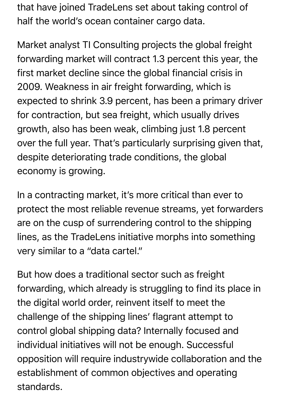that have joined TradeLens set about taking control of half the world's ocean container cargo data.

Market analyst TI Consulting projects the global freight forwarding market will contract 1.3 percent this year, the first market decline since the global financial crisis in 2009. Weakness in air freight forwarding, which is expected to shrink 3.9 percent, has been a primary driver for contraction, but sea freight, which usually drives growth, also has been weak, climbing just 1.8 percent over the full year. That's particularly surprising given that, despite deteriorating trade conditions, the global economy is growing.

In a contracting market, it's more critical than ever to protect the most reliable revenue streams, yet forwarders are on the cusp of surrendering control to the shipping lines, as the TradeLens initiative morphs into something very similar to a "data cartel."

But how does a traditional sector such as freight forwarding, which already is struggling to find its place in the digital world order, reinvent itself to meet the challenge of the shipping lines' flagrant attempt to control global shipping data? Internally focused and individual initiatives will not be enough. Successful opposition will require industrywide collaboration and the establishment of common objectives and operating standards.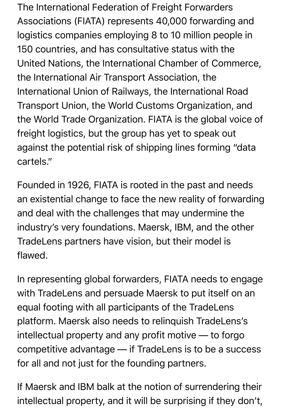The International Federation of Freight Forwarders Associations (FIATA) represents 40,000 forwarding and logistics companies employing 8 to 10 million people in 150 countries, and has consultative status with the United Nations, the International Chamber of Commerce, the International Air Transport Association, the International Union of Railways, the International Road Transport Union, the World Customs Organization, and the World Trade Organization. FIATA is the global voice of freight logistics, but the group has yet to speak out against the potential risk of shipping lines forming "data cartels."

Founded in 1926, FIATA is rooted in the past and needs an existential change to face the new reality of forwarding and deal with the challenges that may undermine the industry's very foundations. Maersk, IBM, and the other TradeLens partners have vision, but their model is flawed.

In representing global forwarders, FIATA needs to engage with TradeLens and persuade Maersk to put itself on an equal footing with all participants of the TradeLens platform. Maersk also needs to relinquish TradeLens's intellectual property and any profit motive — to forgo competitive advantage — if TradeLens is to be a success for all and not just for the founding partners.

If Maersk and IBM balk at the notion of surrendering their intellectual property, and it will be surprising if they don't,